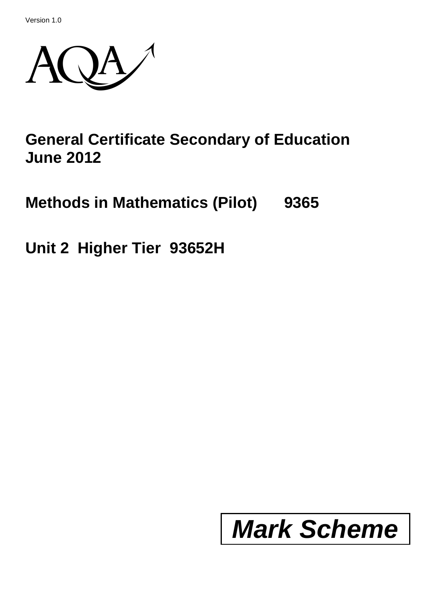Version 1.0



## **General Certificate Secondary of Education June 2012**

**Methods in Mathematics (Pilot) 9365**

**Unit 2 Higher Tier 93652H**

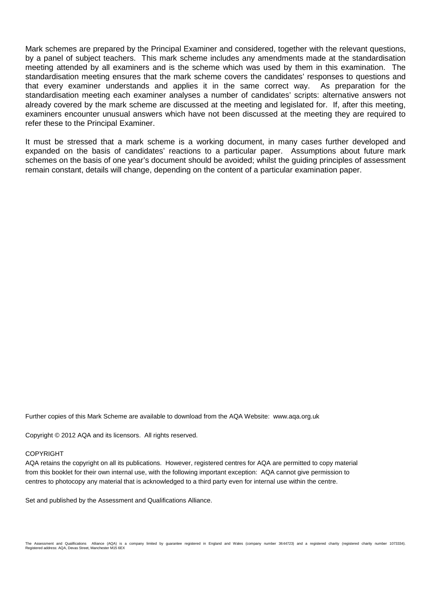Mark schemes are prepared by the Principal Examiner and considered, together with the relevant questions, by a panel of subject teachers. This mark scheme includes any amendments made at the standardisation meeting attended by all examiners and is the scheme which was used by them in this examination. The standardisation meeting ensures that the mark scheme covers the candidates' responses to questions and that every examiner understands and applies it in the same correct way. As preparation for the standardisation meeting each examiner analyses a number of candidates' scripts: alternative answers not already covered by the mark scheme are discussed at the meeting and legislated for. If, after this meeting, examiners encounter unusual answers which have not been discussed at the meeting they are required to refer these to the Principal Examiner.

It must be stressed that a mark scheme is a working document, in many cases further developed and expanded on the basis of candidates' reactions to a particular paper. Assumptions about future mark schemes on the basis of one year's document should be avoided; whilst the guiding principles of assessment remain constant, details will change, depending on the content of a particular examination paper.

Further copies of this Mark Scheme are available to download from the AQA Website: www.aqa.org.uk

Copyright © 2012 AQA and its licensors. All rights reserved.

## **COPYRIGHT**

AQA retains the copyright on all its publications. However, registered centres for AQA are permitted to copy material from this booklet for their own internal use, with the following important exception: AQA cannot give permission to centres to photocopy any material that is acknowledged to a third party even for internal use within the centre.

Set and published by the Assessment and Qualifications Alliance.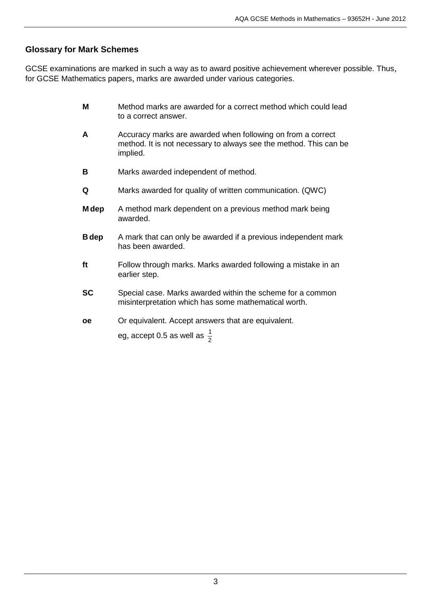## **Glossary for Mark Schemes**

GCSE examinations are marked in such a way as to award positive achievement wherever possible. Thus, for GCSE Mathematics papers, marks are awarded under various categories.

- **M** Method marks are awarded for a correct method which could lead to a correct answer.
- **A** Accuracy marks are awarded when following on from a correct method. It is not necessary to always see the method. This can be implied.
- **B** Marks awarded independent of method.
- **Q** Marks awarded for quality of written communication. (QWC)
- **M dep** A method mark dependent on a previous method mark being awarded.
- **B dep** A mark that can only be awarded if a previous independent mark has been awarded.
- **ft** Follow through marks. Marks awarded following a mistake in an earlier step.
- **SC** Special case. Marks awarded within the scheme for a common misinterpretation which has some mathematical worth.
- **oe** Or equivalent. Accept answers that are equivalent.

eg, accept 0.5 as well as  $\frac{1}{2}$ 1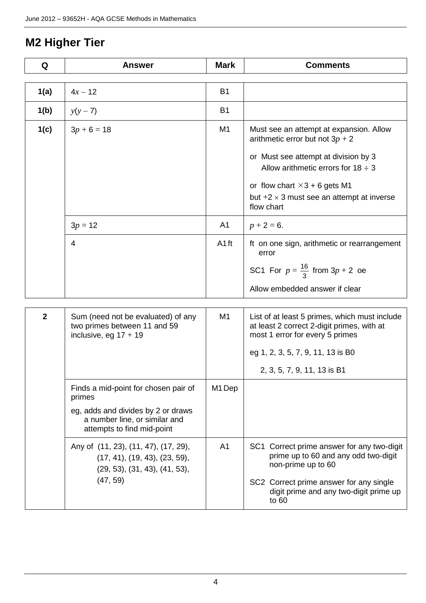## **M2 Higher Tier**

| Q            | <b>Answer</b>                                                                                          | <b>Mark</b>       | <b>Comments</b>                                                                                                                |
|--------------|--------------------------------------------------------------------------------------------------------|-------------------|--------------------------------------------------------------------------------------------------------------------------------|
| 1(a)         | $4x - 12$                                                                                              | <b>B1</b>         |                                                                                                                                |
| 1(b)         | $y(y - 7)$                                                                                             | <b>B1</b>         |                                                                                                                                |
|              |                                                                                                        |                   |                                                                                                                                |
| 1(c)         | $3p + 6 = 18$                                                                                          | M <sub>1</sub>    | Must see an attempt at expansion. Allow<br>arithmetic error but not $3p + 2$                                                   |
|              |                                                                                                        |                   | or Must see attempt at division by 3<br>Allow arithmetic errors for $18 \div 3$                                                |
|              |                                                                                                        |                   | or flow chart $\times$ 3 + 6 gets M1                                                                                           |
|              |                                                                                                        |                   | but $+2 \times 3$ must see an attempt at inverse<br>flow chart                                                                 |
|              | $3p = 12$                                                                                              | A <sub>1</sub>    | $p + 2 = 6.$                                                                                                                   |
|              | $\overline{4}$                                                                                         | A <sub>1</sub> ft | ft on one sign, arithmetic or rearrangement<br>error                                                                           |
|              |                                                                                                        |                   | SC1 For $p = \frac{16}{3}$ from $3p + 2$ oe                                                                                    |
|              |                                                                                                        |                   | Allow embedded answer if clear                                                                                                 |
| $\mathbf{2}$ | Sum (need not be evaluated) of any<br>two primes between 11 and 59<br>inclusive, eg $17 + 19$          | M <sub>1</sub>    | List of at least 5 primes, which must include<br>at least 2 correct 2-digit primes, with at<br>most 1 error for every 5 primes |
|              |                                                                                                        |                   | eg 1, 2, 3, 5, 7, 9, 11, 13 is B0                                                                                              |
|              |                                                                                                        |                   | 2, 3, 5, 7, 9, 11, 13 is B1                                                                                                    |
|              | Finds a mid-point for chosen pair of<br>primes                                                         | M1 Dep            |                                                                                                                                |
|              | eg, adds and divides by 2 or draws<br>a number line, or similar and<br>attempts to find mid-point      |                   |                                                                                                                                |
|              | Any of (11, 23), (11, 47), (17, 29),<br>(17, 41), (19, 43), (23, 59),<br>(29, 53), (31, 43), (41, 53), | A <sub>1</sub>    | SC1 Correct prime answer for any two-digit<br>prime up to 60 and any odd two-digit<br>non-prime up to 60                       |
|              | (47, 59)                                                                                               |                   | SC2 Correct prime answer for any single<br>digit prime and any two-digit prime up<br>to 60                                     |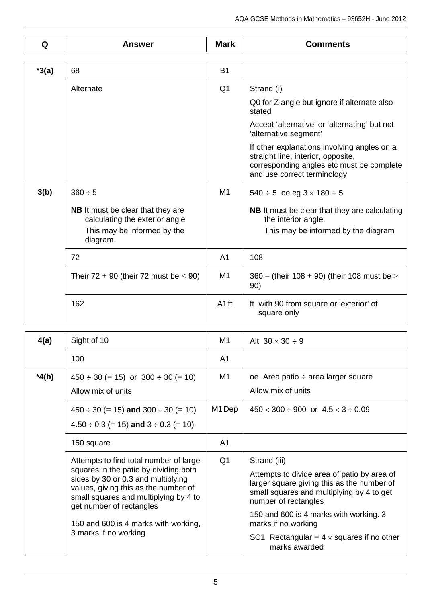| Q       | Answer                                                                                                                | <b>Mark</b>      | <b>Comments</b>                                                                                                                                               |
|---------|-----------------------------------------------------------------------------------------------------------------------|------------------|---------------------------------------------------------------------------------------------------------------------------------------------------------------|
|         |                                                                                                                       |                  |                                                                                                                                                               |
| $*3(a)$ | 68                                                                                                                    | <b>B1</b>        |                                                                                                                                                               |
|         | Alternate                                                                                                             | Q <sub>1</sub>   | Strand (i)                                                                                                                                                    |
|         |                                                                                                                       |                  | Q0 for Z angle but ignore if alternate also<br>stated                                                                                                         |
|         |                                                                                                                       |                  | Accept 'alternative' or 'alternating' but not<br>'alternative segment'                                                                                        |
|         |                                                                                                                       |                  | If other explanations involving angles on a<br>straight line, interior, opposite,<br>corresponding angles etc must be complete<br>and use correct terminology |
| 3(b)    | $360 \div 5$                                                                                                          | M <sub>1</sub>   | $540 \div 5$ oe eg $3 \times 180 \div 5$                                                                                                                      |
|         | <b>NB</b> It must be clear that they are<br>calculating the exterior angle<br>This may be informed by the<br>diagram. |                  | NB It must be clear that they are calculating<br>the interior angle.<br>This may be informed by the diagram                                                   |
|         | 72                                                                                                                    | A <sub>1</sub>   | 108                                                                                                                                                           |
|         | Their $72 + 90$ (their 72 must be $< 90$ )                                                                            | M <sub>1</sub>   | $360 -$ (their 108 + 90) (their 108 must be ><br>90)                                                                                                          |
|         | 162                                                                                                                   | A <sub>1ft</sub> | ft with 90 from square or 'exterior' of<br>square only                                                                                                        |

| 4(a)    | M1<br>Sight of 10                                                                                                                                                                                                                                                                                   |                | Alt $30 \times 30 \div 9$                                                                                                                                                                                                                                                                                            |
|---------|-----------------------------------------------------------------------------------------------------------------------------------------------------------------------------------------------------------------------------------------------------------------------------------------------------|----------------|----------------------------------------------------------------------------------------------------------------------------------------------------------------------------------------------------------------------------------------------------------------------------------------------------------------------|
|         | 100                                                                                                                                                                                                                                                                                                 | A1             |                                                                                                                                                                                                                                                                                                                      |
| $*4(b)$ | $450 \div 30 (= 15)$ or $300 \div 30 (= 10)$<br>Allow mix of units                                                                                                                                                                                                                                  | M1             | oe Area patio $\div$ area larger square<br>Allow mix of units                                                                                                                                                                                                                                                        |
|         | M1 Dep<br>$450 \div 30 (= 15)$ and $300 \div 30 (= 10)$<br>$4.50 \div 0.3$ (= 15) and $3 \div 0.3$ (= 10)                                                                                                                                                                                           |                | $450 \times 300 \div 900$ or $4.5 \times 3 \div 0.09$                                                                                                                                                                                                                                                                |
|         | 150 square                                                                                                                                                                                                                                                                                          | A <sub>1</sub> |                                                                                                                                                                                                                                                                                                                      |
|         | Attempts to find total number of large<br>squares in the patio by dividing both<br>sides by 30 or 0.3 and multiplying<br>values, giving this as the number of<br>small squares and multiplying by 4 to<br>get number of rectangles<br>150 and 600 is 4 marks with working,<br>3 marks if no working | Q <sub>1</sub> | Strand (iii)<br>Attempts to divide area of patio by area of<br>larger square giving this as the number of<br>small squares and multiplying by 4 to get<br>number of rectangles<br>150 and 600 is 4 marks with working. 3<br>marks if no working<br>SC1 Rectangular = $4 \times$ squares if no other<br>marks awarded |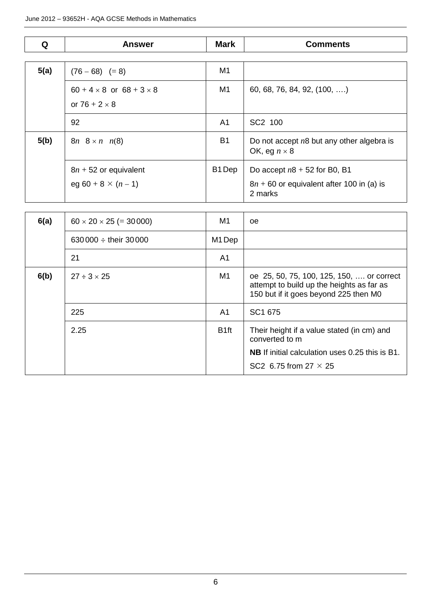| Q    | <b>Answer</b>                                                  | <b>Mark</b>        | <b>Comments</b>                                                                          |
|------|----------------------------------------------------------------|--------------------|------------------------------------------------------------------------------------------|
|      |                                                                |                    |                                                                                          |
| 5(a) | $(76 - 68) (= 8)$                                              | M1                 |                                                                                          |
|      | $60 + 4 \times 8$ or $68 + 3 \times 8$<br>or $76 + 2 \times 8$ | M <sub>1</sub>     | 60, 68, 76, 84, 92, (100, )                                                              |
|      | 92                                                             | A1                 | SC2 100                                                                                  |
| 5(b) | $8n \quad 8 \times n \quad n(8)$                               |                    | Do not accept $n8$ but any other algebra is<br>OK, eg $n \times 8$                       |
|      | $8n + 52$ or equivalent<br>eg 60 + 8 $\times$ (n - 1)          | B <sub>1</sub> Dep | Do accept $n8 + 52$ for B0, B1<br>$8n + 60$ or equivalent after 100 in (a) is<br>2 marks |

| 6(a) | $60 \times 20 \times 25 (= 30000)$ | M <sub>1</sub>   | oe                                                                                                                              |
|------|------------------------------------|------------------|---------------------------------------------------------------------------------------------------------------------------------|
|      | 630 000 $\div$ their 30 000        | M1 Dep           |                                                                                                                                 |
|      | 21                                 | A1               |                                                                                                                                 |
| 6(b) | $27 \div 3 \times 25$              | M1               | oe 25, 50, 75, 100, 125, 150,  or correct<br>attempt to build up the heights as far as<br>150 but if it goes beyond 225 then M0 |
|      | 225                                | A1               | SC1 675                                                                                                                         |
|      | 2.25                               | B <sub>1ft</sub> | Their height if a value stated (in cm) and<br>converted to m                                                                    |
|      |                                    |                  | <b>NB</b> If initial calculation uses 0.25 this is B1.                                                                          |
|      |                                    |                  | SC2 6.75 from 27 $\times$ 25                                                                                                    |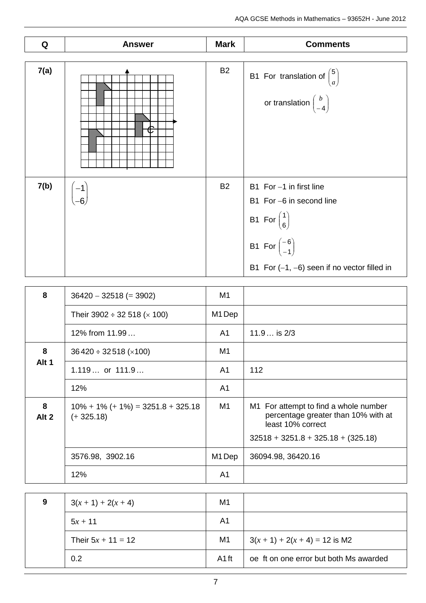| Q    | <b>Answer</b> | <b>Mark</b> | <b>Comments</b>                                                                                                                                                                                          |
|------|---------------|-------------|----------------------------------------------------------------------------------------------------------------------------------------------------------------------------------------------------------|
| 7(a) |               | <b>B2</b>   | B1 For translation of $\binom{5}{a}$<br>or translation $\begin{pmatrix} b \\ -4 \end{pmatrix}$                                                                                                           |
| 7(b) |               | <b>B2</b>   | B1 For -1 in first line<br>B1 For -6 in second line<br>B1 For $\begin{pmatrix} 1 \\ 6 \end{pmatrix}$<br>B1 For $\begin{pmatrix} -6 \\ -1 \end{pmatrix}$<br>B1 For $(-1, -6)$ seen if no vector filled in |

| 8          | $36420 - 32518 (= 3902)$                            | M1             |                                                                                                                                           |
|------------|-----------------------------------------------------|----------------|-------------------------------------------------------------------------------------------------------------------------------------------|
|            | Their 3902 $\div$ 32 518 ( $\times$ 100)            | M1 Dep         |                                                                                                                                           |
|            | 12% from 11.99                                      | A1             | $11.9$ is $2/3$                                                                                                                           |
| 8          | $36420 \div 32518 \times 100$                       | M1             |                                                                                                                                           |
| Alt 1      | $1.119$ or $111.9$                                  | A <sub>1</sub> | 112                                                                                                                                       |
|            | 12%                                                 | A <sub>1</sub> |                                                                                                                                           |
| 8<br>Alt 2 | $10\% + 1\% + 1\% = 3251.8 + 325.18$<br>$(+325.18)$ | M1             | M1 For attempt to find a whole number<br>percentage greater than 10% with at<br>least 10% correct<br>$32518 + 3251.8 + 325.18 + (325.18)$ |
|            | 3576.98, 3902.16                                    | M1 Dep         | 36094.98, 36420.16                                                                                                                        |
|            | 12%                                                 | A <sub>1</sub> |                                                                                                                                           |

| 9 | $3(x + 1) + 2(x + 4)$ | M <sub>1</sub>    |                                        |
|---|-----------------------|-------------------|----------------------------------------|
|   | $5x + 11$             | A1                |                                        |
|   | Their $5x + 11 = 12$  | M1                | $3(x + 1) + 2(x + 4) = 12$ is M2       |
|   | 0.2                   | A <sub>1</sub> ft | oe ft on one error but both Ms awarded |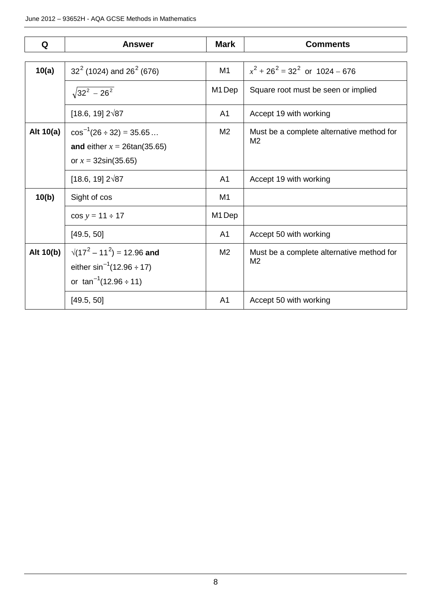| Q           | <b>Answer</b>                                                                                          | <b>Mark</b>    | <b>Comments</b>                                             |
|-------------|--------------------------------------------------------------------------------------------------------|----------------|-------------------------------------------------------------|
|             |                                                                                                        |                |                                                             |
| 10(a)       | $32^2$ (1024) and 26 <sup>2</sup> (676)                                                                | M1             | $x^{2}$ + 26 <sup>2</sup> = 32 <sup>2</sup> or 1024 – 676   |
|             | $\sqrt{32^2 - 26^2}$                                                                                   | M1 Dep         | Square root must be seen or implied                         |
|             | $[18.6, 19]$ 2 $\sqrt{87}$                                                                             | A1             | Accept 19 with working                                      |
| Alt $10(a)$ | $\cos^{-1}(26 \div 32) = 35.65$<br>and either $x = 26\tan(35.65)$<br>or $x = 32\sin(35.65)$            | M <sub>2</sub> | Must be a complete alternative method for<br>M <sub>2</sub> |
|             | $[18.6, 19]$ 2 $\sqrt{87}$                                                                             | A <sub>1</sub> | Accept 19 with working                                      |
| 10(b)       | Sight of cos                                                                                           | M1             |                                                             |
|             | $cos y = 11 \div 17$                                                                                   | M1 Dep         |                                                             |
|             | [49.5, 50]                                                                                             | A <sub>1</sub> | Accept 50 with working                                      |
| Alt 10(b)   | $\sqrt{(17^2-11^2)}$ = 12.96 and<br>either $\sin^{-1}(12.96 \div 17)$<br>or $\tan^{-1}(12.96 \div 11)$ | M <sub>2</sub> | Must be a complete alternative method for<br>M2             |
|             | [49.5, 50]                                                                                             | A1             | Accept 50 with working                                      |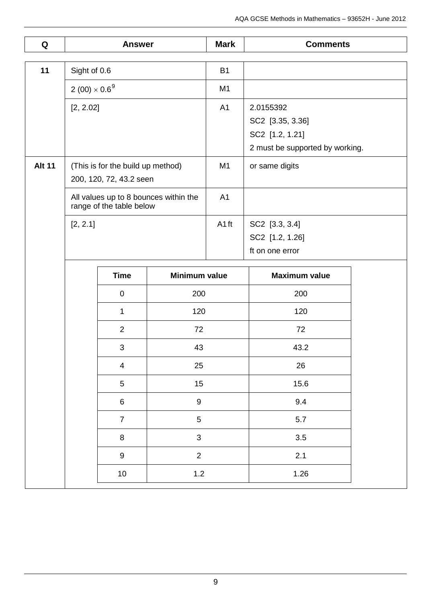| Q             | <b>Answer</b>                                             |                                   | <b>Mark</b>                           | <b>Comments</b> |                                 |  |
|---------------|-----------------------------------------------------------|-----------------------------------|---------------------------------------|-----------------|---------------------------------|--|
|               |                                                           |                                   |                                       |                 |                                 |  |
| 11            | Sight of 0.6                                              |                                   | <b>B1</b>                             |                 |                                 |  |
|               | $2(00) \times 0.6^{9}$                                    |                                   |                                       | M <sub>1</sub>  |                                 |  |
|               | [2, 2.02]                                                 |                                   |                                       | A <sub>1</sub>  | 2.0155392                       |  |
|               |                                                           |                                   |                                       |                 | SC2 [3.35, 3.36]                |  |
|               |                                                           |                                   |                                       |                 | SC2 [1.2, 1.21]                 |  |
|               |                                                           |                                   |                                       |                 | 2 must be supported by working. |  |
| <b>Alt 11</b> |                                                           | (This is for the build up method) |                                       | M1              | or same digits                  |  |
|               |                                                           | 200, 120, 72, 43.2 seen           |                                       |                 |                                 |  |
|               |                                                           | range of the table below          | All values up to 8 bounces within the | A <sub>1</sub>  |                                 |  |
|               | [2, 2.1]                                                  |                                   |                                       | A1ft            | SC2 [3.3, 3.4]                  |  |
|               |                                                           |                                   |                                       |                 | SC2 [1.2, 1.26]                 |  |
|               |                                                           |                                   |                                       |                 | ft on one error                 |  |
|               |                                                           | <b>Time</b>                       | <b>Minimum value</b>                  |                 | <b>Maximum value</b>            |  |
|               | $\pmb{0}$                                                 |                                   | 200                                   |                 | 200                             |  |
|               |                                                           | 1                                 | 120                                   |                 | 120                             |  |
|               | $\overline{2}$                                            |                                   | 72                                    |                 | 72                              |  |
|               |                                                           | 3                                 | 43                                    |                 | 43.2                            |  |
|               |                                                           | $\overline{4}$                    | 25                                    |                 | 26                              |  |
|               |                                                           | 5                                 | 15                                    |                 | 15.6                            |  |
|               | $\boldsymbol{9}$<br>6<br>$\overline{5}$<br>$\overline{7}$ |                                   |                                       | 9.4             |                                 |  |
|               |                                                           |                                   |                                       | 5.7             |                                 |  |
|               |                                                           | 8                                 | $\mathbf{3}$                          |                 | 3.5                             |  |
|               |                                                           | $\boldsymbol{9}$                  | $\overline{2}$                        |                 | 2.1                             |  |
|               |                                                           | 10                                | 1.2                                   |                 | 1.26                            |  |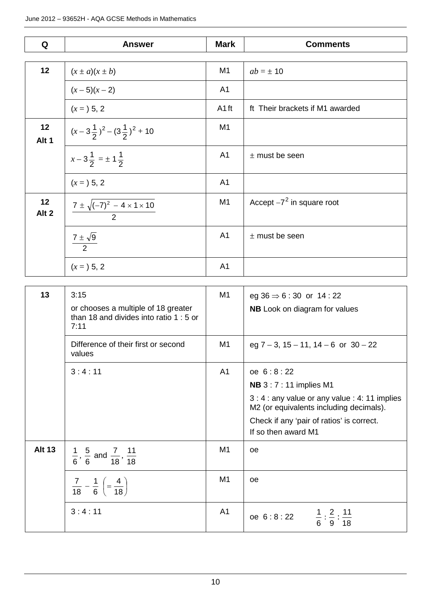| Q                      | <b>Answer</b>                                          | <b>Mark</b>       | <b>Comments</b>                 |
|------------------------|--------------------------------------------------------|-------------------|---------------------------------|
|                        |                                                        |                   |                                 |
| 12                     | $(x \pm a)(x \pm b)$                                   | M1                | $ab = \pm 10$                   |
|                        | $(x-5)(x-2)$                                           | A <sub>1</sub>    |                                 |
|                        | $(x = 5, 2)$                                           | A <sub>1</sub> ft | ft Their brackets if M1 awarded |
| 12<br>Alt 1            | $(x-3\frac{1}{2})^2-(3\frac{1}{2})^2+10$               | M <sub>1</sub>    |                                 |
|                        | $x-3\frac{1}{2} = \pm 1\frac{1}{2}$                    | A <sub>1</sub>    | $±$ must be seen                |
|                        | $(x = 5, 2)$                                           | A <sub>1</sub>    |                                 |
| 12<br>Alt <sub>2</sub> | $\frac{7 \pm \sqrt{(-7)^2 - 4 \times 1 \times 10}}{2}$ | M <sub>1</sub>    | Accept $-7^2$ in square root    |
|                        | $\frac{7\pm\sqrt{9}}{2}$                               | A <sub>1</sub>    | $±$ must be seen                |
|                        | $(x = 5, 2)$                                           | A <sub>1</sub>    |                                 |

| 13            | 3:15<br>or chooses a multiple of 18 greater<br>than 18 and divides into ratio 1 : 5 or<br>7:11 | M <sub>1</sub> | eg $36 \Rightarrow 6:30$ or $14:22$<br><b>NB</b> Look on diagram for values               |
|---------------|------------------------------------------------------------------------------------------------|----------------|-------------------------------------------------------------------------------------------|
|               | Difference of their first or second<br>values                                                  | M1             | eg $7 - 3$ , $15 - 11$ , $14 - 6$ or $30 - 22$                                            |
|               | 3:4:11                                                                                         | A <sub>1</sub> | oe 6:8:22                                                                                 |
|               |                                                                                                |                | <b>NB</b> 3 : 7 : 11 implies M1                                                           |
|               |                                                                                                |                | 3 : 4 : any value or any value : 4: 11 implies<br>M2 (or equivalents including decimals). |
|               |                                                                                                |                | Check if any 'pair of ratios' is correct.<br>If so then award M1                          |
| <b>Alt 13</b> | $\frac{1}{6}$ , $\frac{5}{6}$ and $\frac{7}{18}$ , $\frac{11}{18}$                             | M1             | <b>oe</b>                                                                                 |
|               | $rac{7}{18} - \frac{1}{6}$ $\left( = \frac{4}{18} \right)$                                     | M <sub>1</sub> | oe                                                                                        |
|               | 3:4:11                                                                                         | A <sub>1</sub> | oe 6:8:22 $\frac{1}{6}:\frac{2}{9}:\frac{11}{18}$                                         |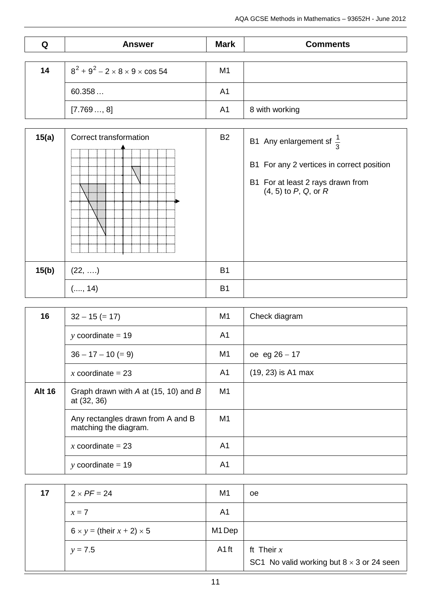| Q  | <b>Answer</b>                                    | <b>Mark</b>    | <b>Comments</b> |
|----|--------------------------------------------------|----------------|-----------------|
|    |                                                  |                |                 |
| 14 | $8^2 + 9^2 - 2 \times 8 \times 9 \times \cos 54$ | M <sub>1</sub> |                 |
|    | 60.358                                           | A1             |                 |
|    | [7.769, 8]                                       | A <sub>1</sub> | 8 with working  |

| 15(a) | Correct transformation<br><br><br>.<br><br>$5$ | <b>B2</b> | B1 Any enlargement sf $\frac{1}{3}$<br>B1 For any 2 vertices in correct position<br>B1 For at least 2 rays drawn from<br>$(4, 5)$ to P, Q, or R |
|-------|------------------------------------------------|-----------|-------------------------------------------------------------------------------------------------------------------------------------------------|
| 15(b) | $(22, \ldots)$                                 | <b>B1</b> |                                                                                                                                                 |
|       | (, 14)                                         | <b>B1</b> |                                                                                                                                                 |

| 16            | $32 - 15 (= 17)$                                           | M <sub>1</sub> | Check diagram        |
|---------------|------------------------------------------------------------|----------------|----------------------|
|               | y coordinate $= 19$                                        | A <sub>1</sub> |                      |
|               | $36 - 17 - 10 (= 9)$                                       | M <sub>1</sub> | oe eg $26 - 17$      |
|               | x coordinate = $23$                                        | A <sub>1</sub> | $(19, 23)$ is A1 max |
| <b>Alt 16</b> | Graph drawn with $A$ at (15, 10) and $B$<br>at (32, 36)    | M1             |                      |
|               | Any rectangles drawn from A and B<br>matching the diagram. | M1             |                      |
|               | x coordinate = $23$                                        | A1             |                      |
|               | y coordinate $=$ 19                                        | A <sub>1</sub> |                      |

| 17 | $2 \times PF = 24$                         | M <sub>1</sub> | oe                                                               |
|----|--------------------------------------------|----------------|------------------------------------------------------------------|
|    | $x=7$                                      | A <sub>1</sub> |                                                                  |
|    | $6 \times y =$ (their $x + 2$ ) $\times$ 5 | M1 Dep         |                                                                  |
|    | $y = 7.5$                                  | A1 ft          | ft Their $x$<br>SC1 No valid working but $8 \times 3$ or 24 seen |